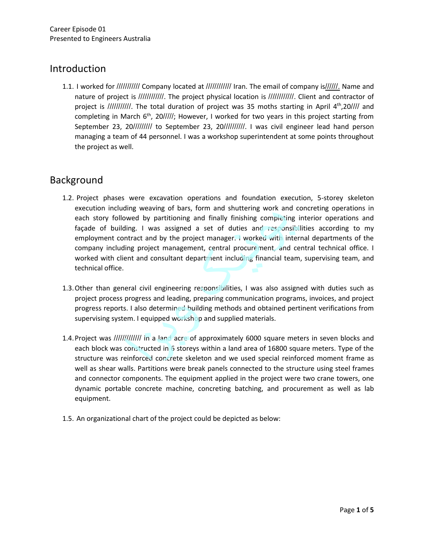### Introduction

1.1. I worked for /////////// Company located at //////////// Iran. The email of company is//////. Name and nature of project is ////////////. The project physical location is ////////////. Client and contractor of project is ///////////. The total duration of project was 35 moths starting in April 4<sup>th</sup>,20//// and completing in March 6<sup>th</sup>, 20/////; However, I worked for two years in this project starting from September 23, 20///////// to September 23, 20//////////. I was civil engineer lead hand person managing a team of 44 personnel. I was a workshop superintendent at some points throughout the project as well.

# Background

- 1.2. Project phases were excavation operations and foundation execution, 5-storey skeleton execution including weaving of bars, form and shuttering work and concreting operations in each story followed by partitioning and finally finishing completing interior operations and façade of building. I was assigned a set of duties and responsibilities according to my employment contract and by the project manager. I worked with internal departments of the company including project management, central procurement, and central technical office. I worked with client and consultant department including financial team, supervising team, and technical office.
- 1.3.Other than general civil engineering responsibilities, I was also assigned with duties such as project process progress and leading, preparing communication programs, invoices, and project progress reports. I also determined building methods and obtained pertinent verifications from supervising system. I equipped workshop and supplied materials.
- 1.4. Project was ////////////////// in a land acre of approximately 6000 square meters in seven blocks and each block was constructed in 6 storeys within a land area of 16800 square meters. Type of the structure was reinforced concrete skeleton and we used special reinforced moment frame as well as shear walls. Partitions were break panels connected to the structure using steel frames and connector components. The equipment applied in the project were two crane towers, one dynamic portable concrete machine, concreting batching, and procurement as well as lab equipment.
- 1.5. An organizational chart of the project could be depicted as below: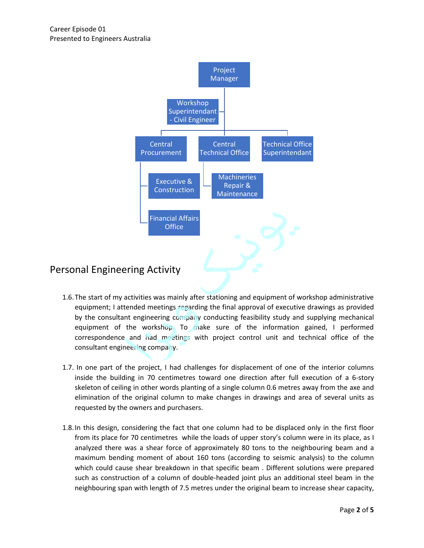

- 1.6.The start of my activities was mainly after stationing and equipment of workshop administrative equipment; I attended meetings regarding the final approval of executive drawings as provided by the consultant engineering company conducting feasibility study and supplying mechanical equipment of the workshop. To make sure of the information gained, I performed correspondence and had meetings with project control unit and technical office of the consultant engineering company.
- 1.7. In one part of the project, I had challenges for displacement of one of the interior columns inside the building in 70 centimetres toward one direction after full execution of a 6-story skeleton of ceiling in other words planting of a single column 0.6 metres away from the axe and elimination of the original column to make changes in drawings and area of several units as requested by the owners and purchasers.
- 1.8.In this design, considering the fact that one column had to be displaced only in the first floor from its place for 70 centimetres while the loads of upper story's column were in its place, as I analyzed there was a shear force of approximately 80 tons to the neighbouring beam and a maximum bending moment of about 160 tons (according to seismic analysis) to the column which could cause shear breakdown in that specific beam . Different solutions were prepared such as construction of a column of double-headed joint plus an additional steel beam in the neighbouring span with length of 7.5 metres under the original beam to increase shear capacity, analyzed there was a shear force of approximately so tons to the<br>maximum bending moment of about 160 tons (according to seisr<br>which could cause shear breakdown in that specific beam . Differe<br>such as construction of a colu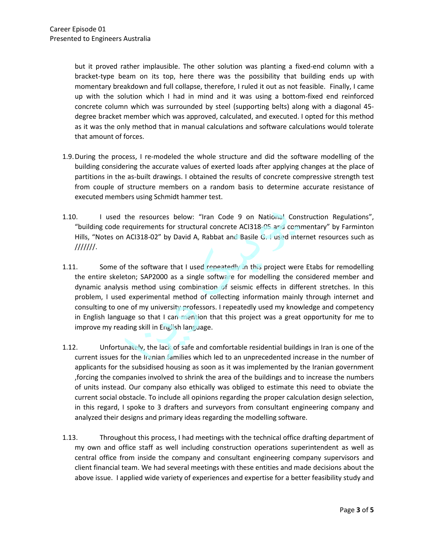but it proved rather implausible. The other solution was planting a fixed-end column with a bracket-type beam on its top, here there was the possibility that building ends up with momentary breakdown and full collapse, therefore, I ruled it out as not feasible. Finally, I came up with the solution which I had in mind and it was using a bottom-fixed end reinforced concrete column which was surrounded by steel (supporting belts) along with a diagonal 45 degree bracket member which was approved, calculated, and executed. I opted for this method as it was the only method that in manual calculations and software calculations would tolerate that amount of forces.

- 1.9.During the process, I re-modeled the whole structure and did the software modelling of the building considering the accurate values of exerted loads after applying changes at the place of partitions in the as-built drawings. I obtained the results of concrete compressive strength test from couple of structure members on a random basis to determine accurate resistance of executed members using Schmidt hammer test.
- 1.10. I used the resources below: "Iran Code 9 on National Construction Regulations", "building code requirements for structural concrete ACI318-05 and commentary" by Farminton Hills, "Notes on ACI318-02" by David A, Rabbat and Basile G. I used internet resources such as ///////.
- 1.11. Some of the software that I used repeatedly in this project were Etabs for remodelling the entire skeleton; SAP2000 as a single software for modelling the considered member and dynamic analysis method using combination of seismic effects in different stretches. In this problem, I used experimental method of collecting information mainly through internet and consulting to one of my university professors. I repeatedly used my knowledge and competency in English language so that I can mention that this project was a great opportunity for me to improve my reading skill in English language.
- 1.12. Unfortunately, the lack of safe and comfortable residential buildings in Iran is one of the current issues for the Iranian families which led to an unprecedented increase in the number of applicants for the subsidised housing as soon as it was implemented by the Iranian government ,forcing the companies involved to shrink the area of the buildings and to increase the numbers of units instead. Our company also ethically was obliged to estimate this need to obviate the current social obstacle. To include all opinions regarding the proper calculation design selection, in this regard, I spoke to 3 drafters and surveyors from consultant engineering company and analyzed their designs and primary ideas regarding the modelling software.
- 1.13. Throughout this process, I had meetings with the technical office drafting department of my own and office staff as well including construction operations superintendent as well as central office from inside the company and consultant engineering company supervisors and client financial team. We had several meetings with these entities and made decisions about the above issue. I applied wide variety of experiences and expertise for a better feasibility study and client financial team. We had several meetings with these entities and made decisions about the above issue. I applied wid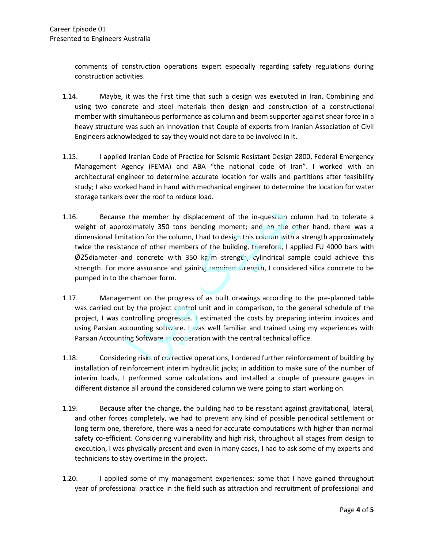comments of construction operations expert especially regarding safety regulations during construction activities.

- 1.14. Maybe, it was the first time that such a design was executed in Iran. Combining and using two concrete and steel materials then design and construction of a constructional member with simultaneous performance as column and beam supporter against shear force in a heavy structure was such an innovation that Couple of experts from Iranian Association of Civil Engineers acknowledged to say they would not dare to be involved in it.
- 1.15. I applied Iranian Code of Practice for Seismic Resistant Design 2800, Federal Emergency Management Agency (FEMA) and ABA "the national code of Iran". I worked with an architectural engineer to determine accurate location for walls and partitions after feasibility study; I also worked hand in hand with mechanical engineer to determine the location for water storage tankers over the roof to reduce load.
- 1.16. Because the member by displacement of the in-question column had to tolerate a weight of approximately 350 tons bending moment; and on the other hand, there was a dimensional limitation for the column, I had to design this column with a strength approximately twice the resistance of other members of the building, therefore, I applied FU 4000 bars with  $\varphi$ 25diameter and concrete with 350 kg/m strength, cylindrical sample could achieve this strength. For more assurance and gaining required strength, I considered silica concrete to be pumped in to the chamber form.
- 1.17. Management on the progress of as built drawings according to the pre-planned table was carried out by the project control unit and in comparison, to the general schedule of the project, I was controlling progresses. I estimated the costs by preparing interim invoices and using Parsian accounting software. I was well familiar and trained using my experiences with Parsian Accounting Software in cooperation with the central technical office.
- 1.18. Considering risks of corrective operations, I ordered further reinforcement of building by installation of reinforcement interim hydraulic jacks; in addition to make sure of the number of interim loads, I performed some calculations and installed a couple of pressure gauges in different distance all around the considered column we were going to start working on.
- 1.19. Because after the change, the building had to be resistant against gravitational, lateral, and other forces completely, we had to prevent any kind of possible periodical settlement or long term one, therefore, there was a need for accurate computations with higher than normal safety co-efficient. Considering vulnerability and high risk, throughout all stages from design to execution, I was physically present and even in many cases, I had to ask some of my experts and technicians to stay overtime in the project.
- 1.20. I applied some of my management experiences; some that I have gained throughout execution, I was physically present and even in many cases, I had to ask some of my experts and<br>technicians to stay overtime in the project.<br>1.20. I applied some of my management experiences; some that I have gained throug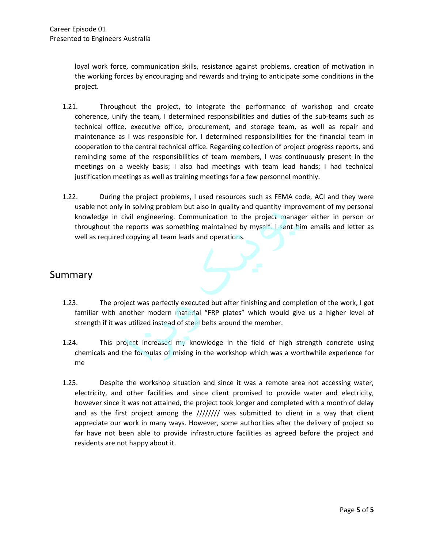loyal work force, communication skills, resistance against problems, creation of motivation in the working forces by encouraging and rewards and trying to anticipate some conditions in the project.

- 1.21. Throughout the project, to integrate the performance of workshop and create coherence, unify the team, I determined responsibilities and duties of the sub-teams such as technical office, executive office, procurement, and storage team, as well as repair and maintenance as I was responsible for. I determined responsibilities for the financial team in cooperation to the central technical office. Regarding collection of project progress reports, and reminding some of the responsibilities of team members, I was continuously present in the meetings on a weekly basis; I also had meetings with team lead hands; I had technical justification meetings as well as training meetings for a few personnel monthly.
- 1.22. During the project problems, I used resources such as FEMA code, ACI and they were usable not only in solving problem but also in quality and quantity improvement of my personal knowledge in civil engineering. Communication to the project manager either in person or throughout the reports was something maintained by myself. I sent him emails and letter as well as required copying all team leads and operations.

#### Summary

- 1.23. The project was perfectly executed but after finishing and completion of the work, I got familiar with another modern material "FRP plates" which would give us a higher level of strength if it was utilized instead of steel belts around the member.
- 1.24. This project increased my knowledge in the field of high strength concrete using chemicals and the formulas of mixing in the workshop which was a worthwhile experience for me
- 1.25. Despite the workshop situation and since it was a remote area not accessing water, electricity, and other facilities and since client promised to provide water and electricity, however since it was not attained, the project took longer and completed with a month of delay and as the first project among the //////// was submitted to client in a way that client appreciate our work in many ways. However, some authorities after the delivery of project so far have not been able to provide infrastructure facilities as agreed before the project and residents are not happy about it.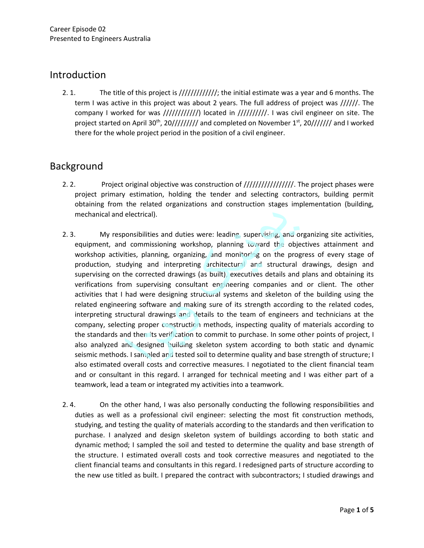### Introduction

2. 1. The title of this project is ///////////////; the initial estimate was a year and 6 months. The term I was active in this project was about 2 years. The full address of project was //////. The company I worked for was ////////////) located in //////////. I was civil engineer on site. The project started on April 30<sup>th</sup>, 20///////// and completed on November 1<sup>st</sup>, 20/////// and I worked there for the whole project period in the position of a civil engineer.

# Background

- 2. 2. Project original objective was construction of  $////////////$  The project phases were project primary estimation, holding the tender and selecting contractors, building permit obtaining from the related organizations and construction stages implementation (building, mechanical and electrical).
- 2. 3. My responsibilities and duties were: leading, supervising, and organizing site activities, equipment, and commissioning workshop, planning toward the objectives attainment and workshop activities, planning, organizing, and monitoring on the progress of every stage of production, studying and interpreting architectural and structural drawings, design and supervising on the corrected drawings (as built), executives details and plans and obtaining its verifications from supervising consultant engineering companies and or client. The other activities that I had were designing structural systems and skeleton of the building using the related engineering software and making sure of its strength according to the related codes, interpreting structural drawings and details to the team of engineers and technicians at the company, selecting proper construction methods, inspecting quality of materials according to the standards and then its verification to commit to purchase. In some other points of project, I also analyzed and designed building skeleton system according to both static and dynamic seismic methods. I sampled and tested soil to determine quality and base strength of structure; I also estimated overall costs and corrective measures. I negotiated to the client financial team and or consultant in this regard. I arranged for technical meeting and I was either part of a teamwork, lead a team or integrated my activities into a teamwork.
- 2. 4. On the other hand, I was also personally conducting the following responsibilities and duties as well as a professional civil engineer: selecting the most fit construction methods, studying, and testing the quality of materials according to the standards and then verification to purchase. I analyzed and design skeleton system of buildings according to both static and dynamic method; I sampled the soil and tested to determine the quality and base strength of the structure. I estimated overall costs and took corrective measures and negotiated to the client financial teams and consultants in this regard. I redesigned parts of structure according to the structure. I estimated overall costs and took corrective measures and negotiated to the client financial teams and consultants in this regard. I redesigned parts of structure according to the new use titled as built. I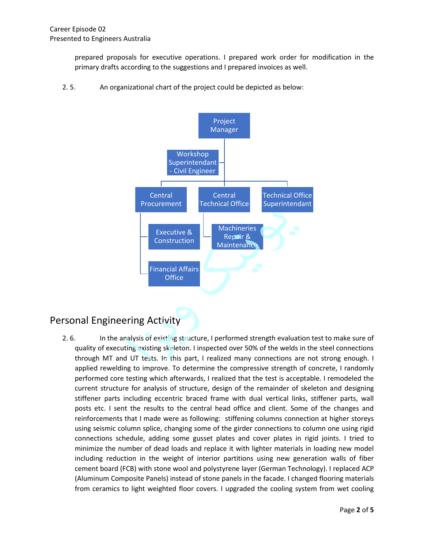prepared proposals for executive operations. I prepared work order for modification in the primary drafts according to the suggestions and I prepared invoices as well.

2. 5. An organizational chart of the project could be depicted as below:



# Personal Engineering Activity

2. 6. In the analysis of existing structure, I performed strength evaluation test to make sure of quality of executing existing skeleton. I inspected over 50% of the welds in the steel connections through MT and UT tests. In this part, I realized many connections are not strong enough. I applied rewelding to improve. To determine the compressive strength of concrete, I randomly performed core testing which afterwards, I realized that the test is acceptable. I remodeled the current structure for analysis of structure, design of the remainder of skeleton and designing stiffener parts including eccentric braced frame with dual vertical links, stiffener parts, wall posts etc. I sent the results to the central head office and client. Some of the changes and reinforcements that I made were as following: stiffening columns connection at higher storeys using seismic column splice, changing some of the girder connections to column one using rigid connections schedule, adding some gusset plates and cover plates in rigid joints. I tried to minimize the number of dead loads and replace it with lighter materials in loading new model including reduction in the weight of interior partitions using new generation walls of fiber cement board (FCB) with stone wool and polystyrene layer (German Technology). I replaced ACP (Aluminum Composite Panels) instead of stone panels in the facade. I changed flooring materials from ceramics to light weighted floor covers. I upgraded the cooling system from wet cooling minimize the number of dead loads and replace it with lighter mat<br>including reduction in the weight of interior partitions using nev<br>cement board (FCB) with stone wool and polystyrene layer (German<br>(Aluminum Composite Pane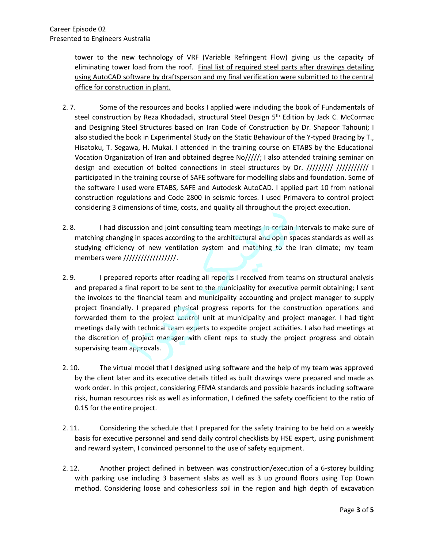tower to the new technology of VRF (Variable Refringent Flow) giving us the capacity of eliminating tower load from the roof. Final list of required steel parts after drawings detailing using AutoCAD software by draftsperson and my final verification were submitted to the central office for construction in plant.

- 2. 7. Some of the resources and books I applied were including the book of Fundamentals of steel construction by Reza Khodadadi, structural Steel Design 5<sup>th</sup> Edition by Jack C. McCormac and Designing Steel Structures based on Iran Code of Construction by Dr. Shapoor Tahouni; I also studied the book in Experimental Study on the Static Behaviour of the Y-typed Bracing by T., Hisatoku, T. Segawa, H. Mukai. I attended in the training course on ETABS by the Educational Vocation Organization of Iran and obtained degree No/////; I also attended training seminar on design and execution of bolted connections in steel structures by Dr. ////////// //////////// I participated in the training course of SAFE software for modelling slabs and foundation. Some of the software I used were ETABS, SAFE and Autodesk AutoCAD. I applied part 10 from national construction regulations and Code 2800 in seismic forces. I used Primavera to control project considering 3 dimensions of time, costs, and quality all throughout the project execution.
- 2. 8. I had discussion and joint consulting team meetings in certain intervals to make sure of matching changing in spaces according to the architectural and open spaces standards as well as studying efficiency of new ventilation system and matching to the Iran climate; my team members were //////////////////.
- 2. 9. I prepared reports after reading all reports I received from teams on structural analysis and prepared a final report to be sent to the municipality for executive permit obtaining; I sent the invoices to the financial team and municipality accounting and project manager to supply project financially. I prepared physical progress reports for the construction operations and forwarded them to the project control unit at municipality and project manager. I had tight meetings daily with technical team experts to expedite project activities. I also had meetings at the discretion of project manager with client reps to study the project progress and obtain supervising team approvals.
- 2. 10. The virtual model that I designed using software and the help of my team was approved by the client later and its executive details titled as built drawings were prepared and made as work order. In this project, considering FEMA standards and possible hazards including software risk, human resources risk as well as information, I defined the safety coefficient to the ratio of 0.15 for the entire project.
- 2. 11. Considering the schedule that I prepared for the safety training to be held on a weekly basis for executive personnel and send daily control checklists by HSE expert, using punishment and reward system, I convinced personnel to the use of safety equipment.
- 2. 12. Another project defined in between was construction/execution of a 6-storey building with parking use including 3 basement slabs as well as 3 up ground floors using Top Down and reward system, I convinced personnel to the use or sarety equipment.<br>
2.12. Another project defined in between was construction/execution of a 6-storey building<br>
with parking use including 3 basement slabs as well as 3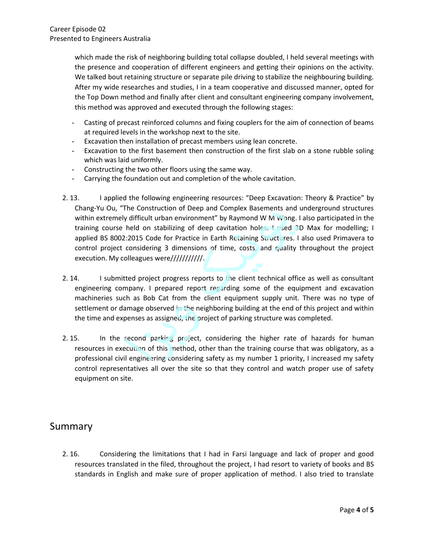which made the risk of neighboring building total collapse doubled, I held several meetings with the presence and cooperation of different engineers and getting their opinions on the activity. We talked bout retaining structure or separate pile driving to stabilize the neighbouring building. After my wide researches and studies, I in a team cooperative and discussed manner, opted for the Top Down method and finally after client and consultant engineering company involvement, this method was approved and executed through the following stages:

- Casting of precast reinforced columns and fixing couplers for the aim of connection of beams at required levels in the workshop next to the site.
- Excavation then installation of precast members using lean concrete.
- Excavation to the first basement then construction of the first slab on a stone rubble soling which was laid uniformly.
- Constructing the two other floors using the same way.
- Carrying the foundation out and completion of the whole cavitation.
- 2. 13. I applied the following engineering resources: "Deep Excavation: Theory & Practice" by Chang-Yu Ou, "The Construction of Deep and Complex Basements and underground structures within extremely difficult urban environment" by Raymond W M Wong. I also participated in the training course held on stabilizing of deep cavitation holes. I used 3D Max for modelling; I applied BS 8002:2015 Code for Practice in Earth Retaining Structures. I also used Primavera to control project considering 3 dimensions of time, costs, and quality throughout the project execution. My colleagues were/////////////
- 2. 14. I submitted project progress reports to the client technical office as well as consultant engineering company. I prepared report regarding some of the equipment and excavation machineries such as Bob Cat from the client equipment supply unit. There was no type of settlement or damage observed in the neighboring building at the end of this project and within the time and expenses as assigned, the project of parking structure was completed.
- 2.15. In the second parking project, considering the higher rate of hazards for human resources in execution of this method, other than the training course that was obligatory, as a professional civil engineering considering safety as my number 1 priority, I increased my safety control representatives all over the site so that they control and watch proper use of safety equipment on site.

#### Summary

2. 16. Considering the limitations that I had in Farsi language and lack of proper and good resources translated in the filed, throughout the project, I had resort to variety of books and BS Standards in English and make sure of proper application of method. I also tried to translate standards in English and make sure of proper application of method. I also tried to translate standards in English and make sure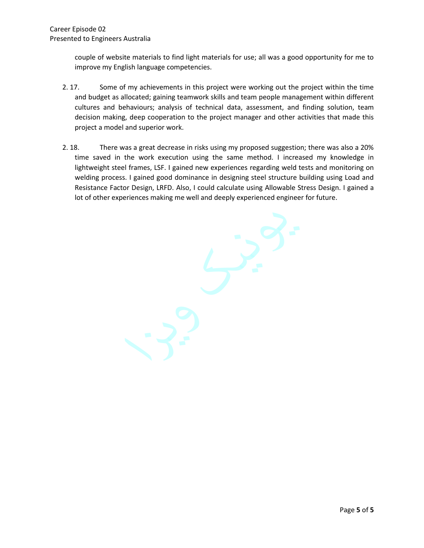couple of website materials to find light materials for use; all was a good opportunity for me to improve my English language competencies.

- 2. 17. Some of my achievements in this project were working out the project within the time and budget as allocated; gaining teamwork skills and team people management within different cultures and behaviours; analysis of technical data, assessment, and finding solution, team decision making, deep cooperation to the project manager and other activities that made this project a model and superior work.
- 2. 18. There was a great decrease in risks using my proposed suggestion; there was also a 20% time saved in the work execution using the same method. I increased my knowledge in lightweight steel frames, LSF. I gained new experiences regarding weld tests and monitoring on welding process. I gained good dominance in designing steel structure building using Load and Resistance Factor Design, LRFD. Also, I could calculate using Allowable Stress Design. I gained a lot of other experiences making me well and deeply experienced engineer for future.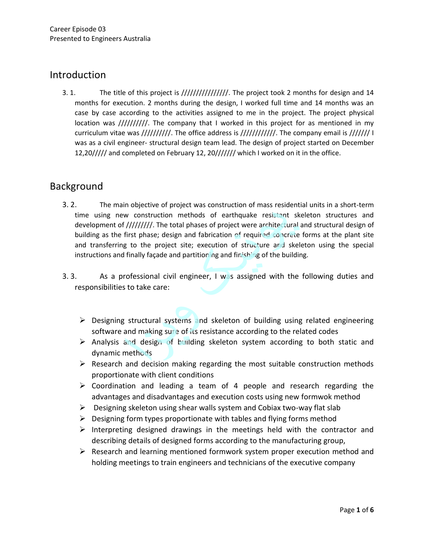### Introduction

3. 1. The title of this project is //////////////////. The project took 2 months for design and 14 months for execution. 2 months during the design, I worked full time and 14 months was an case by case according to the activities assigned to me in the project. The project physical location was //////////. The company that I worked in this project for as mentioned in my curriculum vitae was //////////. The office address is ////////////. The company email is /////// I was as a civil engineer- structural design team lead. The design of project started on December 12,20///// and completed on February 12, 20/////// which I worked on it in the office.

# Background

- 3. 2. The main objective of project was construction of mass residential units in a short-term time using new construction methods of earthquake resistant skeleton structures and development of /////////. The total phases of project were architectural and structural design of building as the first phase; design and fabrication of required concrete forms at the plant site and transferring to the project site; execution of structure and skeleton using the special instructions and finally façade and partitioning and finishing of the building.
- 3. 3. As a professional civil engineer, I was assigned with the following duties and responsibilities to take care:
	- ➢ Designing structural systems and skeleton of building using related engineering software and making sure of its resistance according to the related codes
	- ➢ Analysis and design of building skeleton system according to both static and dynamic methods
	- $\triangleright$  Research and decision making regarding the most suitable construction methods proportionate with client conditions
	- ➢ Coordination and leading a team of 4 people and research regarding the advantages and disadvantages and execution costs using new formwok method
	- ➢ Designing skeleton using shear walls system and Cobiax two-way flat slab
	- $\triangleright$  Designing form types proportionate with tables and flying forms method
	- ➢ Interpreting designed drawings in the meetings held with the contractor and describing details of designed forms according to the manufacturing group,
- $\triangleright$  Research and learning mentioned formwork system proper execution method and A Research and learning mentioned formwork system proper execution method<br>holding meetings to train engineers and technicians of the executive company<br>*Page*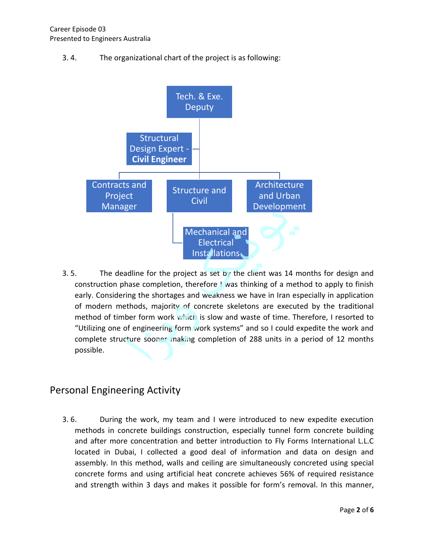3. 4. The organizational chart of the project is as following:



3. 5. The deadline for the project as set by the client was 14 months for design and construction phase completion, therefore  $\frac{1}{1}$  was thinking of a method to apply to finish early. Considering the shortages and weakness we have in Iran especially in application of modern methods, majority of concrete skeletons are executed by the traditional method of timber form work which is slow and waste of time. Therefore, I resorted to "Utilizing one of engineering form work systems" and so I could expedite the work and complete structure sooner making completion of 288 units in a period of 12 months possible.

### Personal Engineering Activity

3. 6. During the work, my team and I were introduced to new expedite execution methods in concrete buildings construction, especially tunnel form concrete building and after more concentration and better introduction to Fly Forms International L.L.C located in Dubai, I collected a good deal of information and data on design and assembly. In this method, walls and ceiling are simultaneously concreted using special concrete forms and using artificial heat concrete achieves 56% of required resistance and strength within 3 days and makes it possible for form's removal. In this manner, *Cocated in Dubai, I collected a good deal of information*<br>assembly. In this method, walls and ceiling are simultaneousl<br>concrete forms and using artificial heat concrete achieves 56<br>and strength within 3 days and makes it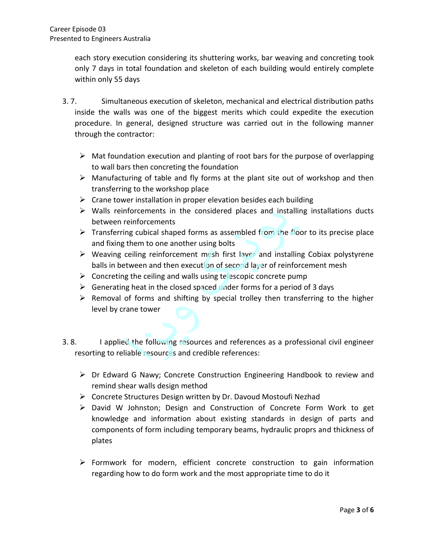each story execution considering its shuttering works, bar weaving and concreting took only 7 days in total foundation and skeleton of each building would entirely complete within only 55 days

- 3. 7. Simultaneous execution of skeleton, mechanical and electrical distribution paths inside the walls was one of the biggest merits which could expedite the execution procedure. In general, designed structure was carried out in the following manner through the contractor:
	- $\triangleright$  Mat foundation execution and planting of root bars for the purpose of overlapping to wall bars then concreting the foundation
	- ➢ Manufacturing of table and fly forms at the plant site out of workshop and then transferring to the workshop place
	- $\triangleright$  Crane tower installation in proper elevation besides each building
	- ➢ Walls reinforcements in the considered places and installing installations ducts between reinforcements
	- $\triangleright$  Transferring cubical shaped forms as assembled from the floor to its precise place and fixing them to one another using bolts
	- ➢ Weaving ceiling reinforcement mesh first layer and installing Cobiax polystyrene balls in between and then execution of second layer of reinforcement mesh
	- $\triangleright$  Concreting the ceiling and walls using telescopic concrete pump
	- $\triangleright$  Generating heat in the closed spaced under forms for a period of 3 days
	- $\triangleright$  Removal of forms and shifting by special trolley then transferring to the higher level by crane tower
- 3. 8. I applied the following resources and references as a professional civil engineer resorting to reliable resources and credible references:
	- ➢ Dr Edward G Nawy; Concrete Construction Engineering Handbook to review and remind shear walls design method
	- ➢ Concrete Structures Design written by Dr. Davoud Mostoufi Nezhad
	- ➢ David W Johnston; Design and Construction of Concrete Form Work to get knowledge and information about existing standards in design of parts and components of form including temporary beams, hydraulic proprs and thickness of plates
- ➢ Formwork for modern, efficient concrete construction to gain information Formwork for modern, efficient concrete construction to gain regarding how to do form work and the most appropriate time to do it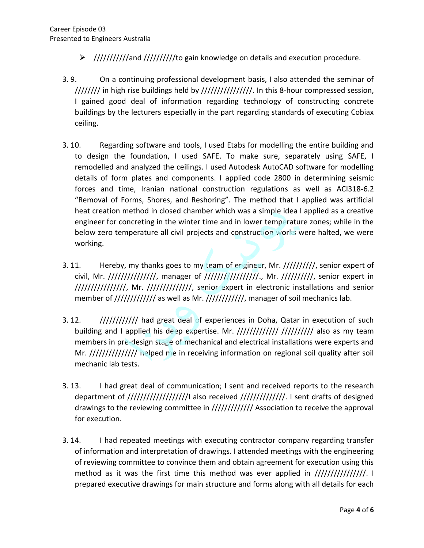- ➢ ///////////and //////////to gain knowledge on details and execution procedure.
- 3. 9. On a continuing professional development basis, I also attended the seminar of //////// in high rise buildings held by ////////////////. In this 8-hour compressed session, I gained good deal of information regarding technology of constructing concrete buildings by the lecturers especially in the part regarding standards of executing Cobiax ceiling.
- 3. 10. Regarding software and tools, I used Etabs for modelling the entire building and to design the foundation, I used SAFE. To make sure, separately using SAFE, I remodelled and analyzed the ceilings. I used Autodesk AutoCAD software for modelling details of form plates and components. I applied code 2800 in determining seismic forces and time, Iranian national construction regulations as well as ACI318-6.2 "Removal of Forms, Shores, and Reshoring". The method that I applied was artificial heat creation method in closed chamber which was a simple idea I applied as a creative engineer for concreting in the winter time and in lower temperature zones; while in the below zero temperature all civil projects and construction works were halted, we were working.
- 3. 11. Hereby, my thanks goes to my team of engineer, Mr. //////////, senior expert of civil, Mr. ///////////////, manager of /////////////////., Mr. //////////, senior expert in ////////////////, Mr. //////////////, senior expert in electronic installations and senior member of ////////////// as well as Mr. ////////////, manager of soil mechanics lab.
- 3. 12. */////////////*// had great deal of experiences in Doha, Qatar in execution of such building and I applied his deep expertise. Mr.  $\frac{1}{1}$ ////////////////////////// also as my team members in pre-design stage of mechanical and electrical installations were experts and Mr. ///////////////////// helped me in receiving information on regional soil quality after soil mechanic lab tests.
- 3. 13. I had great deal of communication; I sent and received reports to the research department of ////////////////////// also received ////////////////. I sent drafts of designed drawings to the reviewing committee in ///////////// Association to receive the approval for execution.
- 3. 14. I had repeated meetings with executing contractor company regarding transfer of information and interpretation of drawings. I attended meetings with the engineering of reviewing committee to convince them and obtain agreement for execution using this method as it was the first time this method was ever applied in  $\frac{1}{1}{\frac{1}{1}{\frac{1}{1}{\frac{1}{1}{\frac{1}{1}{\frac{1}{1}{\frac{1}{1}{\frac{1}{1}{\frac{1}{1}{\frac{1}{1}{\frac{1}{1}{\frac{1}{1}{\frac{1}{1}{\frac{1}{1}{\frac{1}{1}{\frac{1}{1}{\frac{1}{1}{\frac{1}{1}{\frac{1}{1}{\frac{1}{1}{\frac{1}{1}{\frac{1}{1}{\frac{$ previewing committee to convince them and obtain agreement for execution using this<br>method as it was the first time this method was ever applied in ////////////////////<br>prepared executive drawings for main structure and fo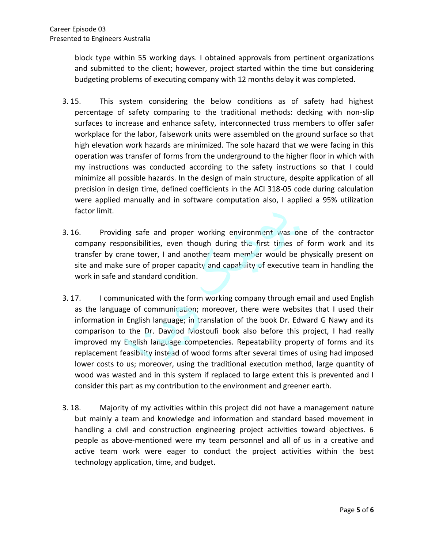block type within 55 working days. I obtained approvals from pertinent organizations and submitted to the client; however, project started within the time but considering budgeting problems of executing company with 12 months delay it was completed.

- 3. 15. This system considering the below conditions as of safety had highest percentage of safety comparing to the traditional methods: decking with non-slip surfaces to increase and enhance safety, interconnected truss members to offer safer workplace for the labor, falsework units were assembled on the ground surface so that high elevation work hazards are minimized. The sole hazard that we were facing in this operation was transfer of forms from the underground to the higher floor in which with my instructions was conducted according to the safety instructions so that I could minimize all possible hazards. In the design of main structure, despite application of all precision in design time, defined coefficients in the ACI 318-05 code during calculation were applied manually and in software computation also, I applied a 95% utilization factor limit.
- 3. 16. Providing safe and proper working environment was one of the contractor company responsibilities, even though during the first times of form work and its transfer by crane tower, I and another team member would be physically present on site and make sure of proper capacity and capability of executive team in handling the work in safe and standard condition.
- 3. 17. I communicated with the form working company through email and used English as the language of communication; moreover, there were websites that I used their information in English language; in translation of the book Dr. Edward G Nawy and its comparison to the Dr. Davood Mostoufi book also before this project, I had really improved my English language competencies. Repeatability property of forms and its replacement feasibility instead of wood forms after several times of using had imposed lower costs to us; moreover, using the traditional execution method, large quantity of wood was wasted and in this system if replaced to large extent this is prevented and I consider this part as my contribution to the environment and greener earth.
- 3. 18. Majority of my activities within this project did not have a management nature but mainly a team and knowledge and information and standard based movement in handling a civil and construction engineering project activities toward objectives. 6 people as above-mentioned were my team personnel and all of us in a creative and active team work were eager to conduct the project activities within the best active team work were eager to conduct the project at technology application, time, and budget.